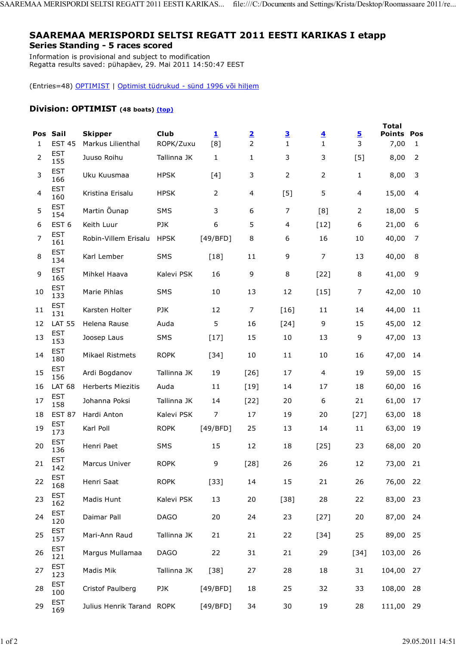## SAAREMAA MERISPORDI SELTSI REGATT 2011 EESTI KARIKAS I etapp Series Standing - 5 races scored

Information is provisional and subject to modification Regatta results saved: pühapäev, 29. Mai 2011 14:50:47 EEST

(Entries=48) OPTIMIST | Optimist tüdrukud - sünd 1996 või hiljem

## Division: OPTIMIST (48 boats) (top)

| 1              | Pos Sail<br><b>EST 45</b> | <b>Skipper</b><br>Markus Lilienthal | <b>Club</b><br>ROPK/Zuxu | $\overline{\mathbf{1}}$<br>[8] | $\overline{\mathbf{2}}$<br>$\overline{2}$ | $\overline{\mathbf{3}}$<br>$\mathbf{1}$ | $\overline{\mathbf{4}}$<br>$\mathbf{1}$ | <u>5</u><br>3  | <b>Total</b><br><b>Points Pos</b><br>7,00 | 1              |
|----------------|---------------------------|-------------------------------------|--------------------------|--------------------------------|-------------------------------------------|-----------------------------------------|-----------------------------------------|----------------|-------------------------------------------|----------------|
| $\overline{2}$ | <b>EST</b><br>155         | Juuso Roihu                         | Tallinna JK              | 1                              | 1                                         | 3                                       | 3                                       | [5]            | 8,00                                      | $\overline{2}$ |
| 3              | <b>EST</b><br>166         | Uku Kuusmaa                         | <b>HPSK</b>              | [4]                            | 3                                         | $\overline{2}$                          | 2                                       | $\mathbf{1}$   | 8,00                                      | 3              |
| 4              | <b>EST</b><br>160         | Kristina Erisalu                    | <b>HPSK</b>              | $\overline{2}$                 | 4                                         | $[5]$                                   | 5                                       | $\overline{4}$ | 15,00                                     | 4              |
| 5              | <b>EST</b><br>154         | Martin Õunap                        | SMS                      | 3                              | 6                                         | 7                                       | [8]                                     | 2              | 18,00                                     | 5              |
| 6              | EST <sub>6</sub>          | Keith Luur                          | <b>PJK</b>               | 6                              | 5                                         | 4                                       | $[12]$                                  | 6              | 21,00                                     | 6              |
| 7              | <b>EST</b><br>161         | Robin-Villem Erisalu                | <b>HPSK</b>              | [49/BFD]                       | 8                                         | 6                                       | 16                                      | 10             | 40,00                                     | 7              |
| 8              | <b>EST</b><br>134         | Karl Lember                         | SMS                      | $[18]$                         | 11                                        | 9                                       | $\overline{7}$                          | 13             | 40,00                                     | 8              |
| 9              | <b>EST</b><br>165         | Mihkel Haava                        | Kalevi PSK               | 16                             | 9                                         | 8                                       | $[22]$                                  | 8              | 41,00                                     | 9              |
| 10             | <b>EST</b><br>133         | Marie Pihlas                        | <b>SMS</b>               | 10                             | 13                                        | 12                                      | $[15]$                                  | 7              | 42,00                                     | 10             |
| 11             | <b>EST</b><br>131         | Karsten Holter                      | <b>PJK</b>               | 12                             | 7                                         | $[16]$                                  | 11                                      | 14             | 44,00                                     | 11             |
| 12             | <b>LAT 55</b>             | Helena Rause                        | Auda                     | 5                              | 16                                        | $[24]$                                  | 9                                       | 15             | 45,00                                     | 12             |
| 13             | <b>EST</b><br>153         | Joosep Laus                         | SMS                      | $[17]$                         | 15                                        | 10                                      | 13                                      | 9              | 47,00                                     | 13             |
| 14             | <b>EST</b><br>180         | Mikael Ristmets                     | <b>ROPK</b>              | $[34]$                         | 10                                        | 11                                      | 10                                      | 16             | 47,00                                     | 14             |
| 15             | <b>EST</b><br>156         | Ardi Bogdanov                       | Tallinna JK              | 19                             | $[26]$                                    | 17                                      | 4                                       | 19             | 59,00                                     | 15             |
| 16             | LAT 68                    | <b>Herberts Miezitis</b>            | Auda                     | 11                             | $[19]$                                    | 14                                      | 17                                      | 18             | 60,00                                     | 16             |
| 17             | <b>EST</b><br>158         | Johanna Poksi                       | Tallinna JK              | 14                             | $[22]$                                    | 20                                      | 6                                       | 21             | 61,00                                     | 17             |
| 18             | <b>EST 87</b>             | Hardi Anton                         | Kalevi PSK               | 7                              | 17                                        | 19                                      | 20                                      | $[27]$         | 63,00                                     | 18             |
| 19             | <b>EST</b><br>173         | Karl Poll                           | <b>ROPK</b>              | [49/BFD]                       | 25                                        | 13                                      | 14                                      | 11             | 63,00                                     | 19             |
| 20             | <b>EST</b><br>136         | Henri Paet                          | <b>SMS</b>               | 15                             | 12                                        | 18                                      | $[25]$                                  | 23             | 68,00                                     | 20             |
| 21             | <b>EST</b><br>142         | Marcus Univer                       | <b>ROPK</b>              | 9                              | $[28]$                                    | 26                                      | 26                                      | 12             | 73,00 21                                  |                |
| 22             | <b>EST</b><br>168         | Henri Saat                          | <b>ROPK</b>              | $[33]$                         | 14                                        | 15                                      | 21                                      | 26             | 76,00                                     | 22             |
| 23             | <b>EST</b><br>162         | Madis Hunt                          | Kalevi PSK               | 13                             | 20                                        | $[38]$                                  | 28                                      | 22             | 83,00                                     | 23             |
| 24             | <b>EST</b><br>120         | Daimar Pall                         | <b>DAGO</b>              | 20                             | 24                                        | 23                                      | $[27]$                                  | 20             | 87,00                                     | 24             |
| 25             | <b>EST</b><br>157         | Mari-Ann Raud                       | Tallinna JK              | 21                             | 21                                        | 22                                      | $[34]$                                  | 25             | 89,00                                     | 25             |
| 26             | <b>EST</b><br>121         | Margus Mullamaa                     | <b>DAGO</b>              | 22                             | 31                                        | 21                                      | 29                                      | $[34]$         | 103,00                                    | 26             |
| 27             | <b>EST</b><br>123         | Madis Mik                           | Tallinna JK              | $[38]$                         | 27                                        | 28                                      | 18                                      | 31             | 104,00                                    | 27             |
| 28             | <b>EST</b><br>100         | Cristof Paulberg                    | PJK                      | [49/BFD]                       | 18                                        | 25                                      | 32                                      | 33             | 108,00                                    | 28             |
| 29             | <b>EST</b><br>169         | Julius Henrik Tarand ROPK           |                          | [49/BFD]                       | 34                                        | 30                                      | 19                                      | 28             | 111,00 29                                 |                |